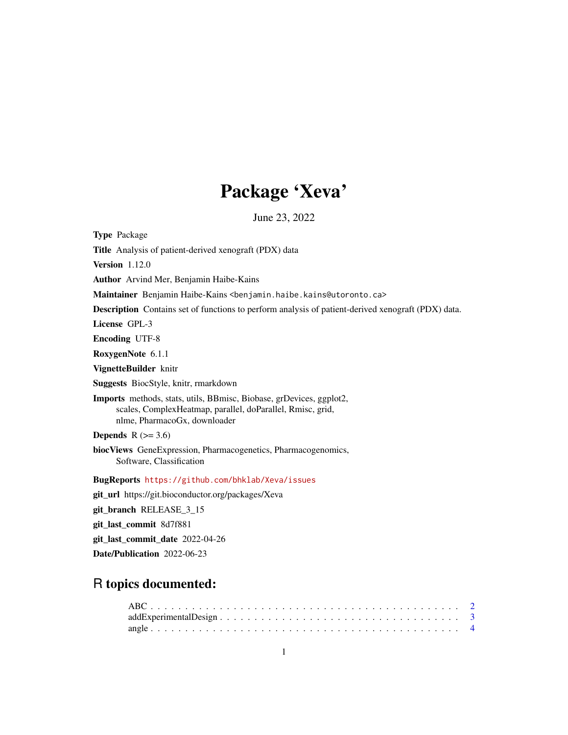# Package 'Xeva'

June 23, 2022

Type Package

Title Analysis of patient-derived xenograft (PDX) data

Version 1.12.0

Author Arvind Mer, Benjamin Haibe-Kains

Maintainer Benjamin Haibe-Kains <benjamin.haibe.kains@utoronto.ca>

Description Contains set of functions to perform analysis of patient-derived xenograft (PDX) data.

License GPL-3

Encoding UTF-8

RoxygenNote 6.1.1

VignetteBuilder knitr

Suggests BiocStyle, knitr, rmarkdown

Imports methods, stats, utils, BBmisc, Biobase, grDevices, ggplot2, scales, ComplexHeatmap, parallel, doParallel, Rmisc, grid, nlme, PharmacoGx, downloader

**Depends**  $R$  ( $>= 3.6$ )

biocViews GeneExpression, Pharmacogenetics, Pharmacogenomics, Software, Classification

BugReports <https://github.com/bhklab/Xeva/issues>

git\_url https://git.bioconductor.org/packages/Xeva

git\_branch RELEASE\_3\_15

git\_last\_commit 8d7f881

git\_last\_commit\_date 2022-04-26

Date/Publication 2022-06-23

# R topics documented: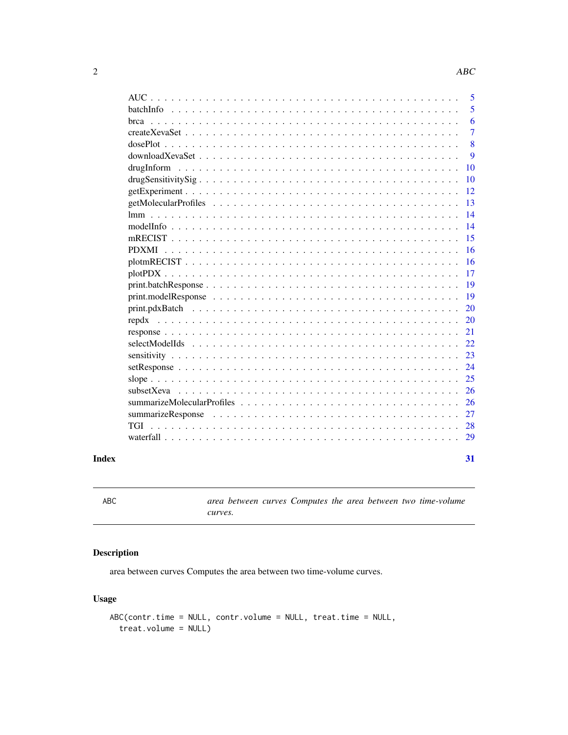<span id="page-1-0"></span>

| 29                                                                                                                                                                                                                                                                                                                                                                                                                    |
|-----------------------------------------------------------------------------------------------------------------------------------------------------------------------------------------------------------------------------------------------------------------------------------------------------------------------------------------------------------------------------------------------------------------------|
|                                                                                                                                                                                                                                                                                                                                                                                                                       |
| 28                                                                                                                                                                                                                                                                                                                                                                                                                    |
| 27                                                                                                                                                                                                                                                                                                                                                                                                                    |
| 26                                                                                                                                                                                                                                                                                                                                                                                                                    |
| 26                                                                                                                                                                                                                                                                                                                                                                                                                    |
| 25                                                                                                                                                                                                                                                                                                                                                                                                                    |
| 24                                                                                                                                                                                                                                                                                                                                                                                                                    |
| 23                                                                                                                                                                                                                                                                                                                                                                                                                    |
| 22                                                                                                                                                                                                                                                                                                                                                                                                                    |
| 21                                                                                                                                                                                                                                                                                                                                                                                                                    |
| 20                                                                                                                                                                                                                                                                                                                                                                                                                    |
| 20                                                                                                                                                                                                                                                                                                                                                                                                                    |
| 19                                                                                                                                                                                                                                                                                                                                                                                                                    |
| 19                                                                                                                                                                                                                                                                                                                                                                                                                    |
| 17                                                                                                                                                                                                                                                                                                                                                                                                                    |
| 16                                                                                                                                                                                                                                                                                                                                                                                                                    |
| 16                                                                                                                                                                                                                                                                                                                                                                                                                    |
| 15                                                                                                                                                                                                                                                                                                                                                                                                                    |
| 14                                                                                                                                                                                                                                                                                                                                                                                                                    |
| 14                                                                                                                                                                                                                                                                                                                                                                                                                    |
| 13                                                                                                                                                                                                                                                                                                                                                                                                                    |
| 12                                                                                                                                                                                                                                                                                                                                                                                                                    |
| 10                                                                                                                                                                                                                                                                                                                                                                                                                    |
| 10                                                                                                                                                                                                                                                                                                                                                                                                                    |
| 9                                                                                                                                                                                                                                                                                                                                                                                                                     |
| 8                                                                                                                                                                                                                                                                                                                                                                                                                     |
| 6<br>7                                                                                                                                                                                                                                                                                                                                                                                                                |
| 5                                                                                                                                                                                                                                                                                                                                                                                                                     |
| 5                                                                                                                                                                                                                                                                                                                                                                                                                     |
| hrca<br>$dosePlot \dots \dots$<br>drugSensitivitySig<br>$\text{Imm}$<br><b>PDXMI</b><br>$print.modelResponse \dots \dots \dots \dots \dots \dots \dots \dots \dots \dots \dots \dots \dots \dots \dots$<br>$print.pdf$ $pdr$ $Ratch$ $\ldots$ $\ldots$ $\ldots$ $\ldots$ $\ldots$ $\ldots$ $\ldots$ $\ldots$ $\ldots$ $\ldots$ $\ldots$ $\ldots$ $\ldots$ $\ldots$ $\ldots$<br>subsetXeva<br>summarizeResponse<br>TGI |

ABC *area between curves Computes the area between two time-volume curves.*

# Description

area between curves Computes the area between two time-volume curves.

```
ABC(contr.time = NULL, contr.volume = NULL, treat.time = NULL,
  treat.volume = NULL)
```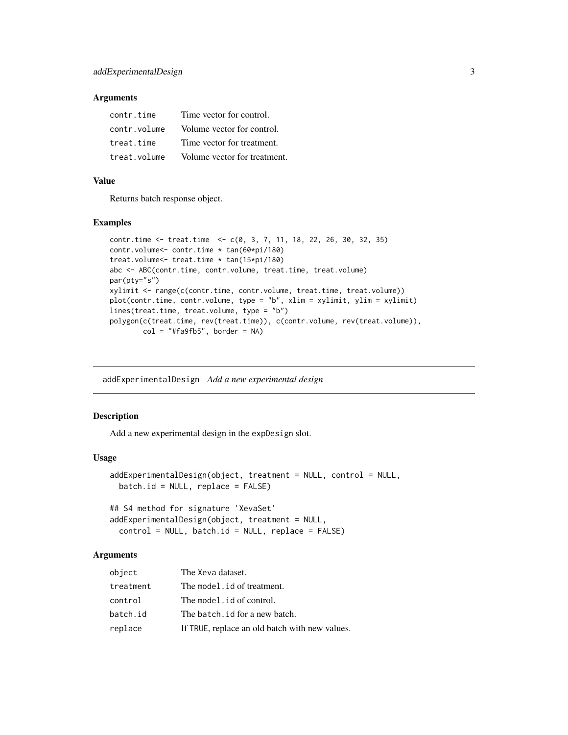# <span id="page-2-0"></span>Arguments

| contr.time   | Time vector for control.     |
|--------------|------------------------------|
| contr.volume | Volume vector for control.   |
| treat.time   | Time vector for treatment.   |
| treat.volume | Volume vector for treatment. |

#### Value

Returns batch response object.

#### Examples

```
contr.time <- treat.time <- c(0, 3, 7, 11, 18, 22, 26, 30, 32, 35)
contr.volume<- contr.time * tan(60*pi/180)
treat.volume<- treat.time * tan(15*pi/180)
abc <- ABC(contr.time, contr.volume, treat.time, treat.volume)
par(pty="s")
xylimit <- range(c(contr.time, contr.volume, treat.time, treat.volume))
plot(contr.time, contr.volume, type = "b", xlim = xylimit, ylim = xylimit)
lines(treat.time, treat.volume, type = "b")
polygon(c(treat.time, rev(treat.time)), c(contr.volume, rev(treat.volume)),
       col = "#fa9fb5", border = NA)
```
addExperimentalDesign *Add a new experimental design*

#### Description

Add a new experimental design in the expDesign slot.

#### Usage

```
addExperimentalDesign(object, treatment = NULL, control = NULL,
 batch.id = NULL, replace = FALSE)
```

```
## S4 method for signature 'XevaSet'
addExperimentalDesign(object, treatment = NULL,
 control = NULL, batch.id = NULL, replace = FALSE)
```
### Arguments

| object    | The Xeva dataset.                              |
|-----------|------------------------------------------------|
| treatment | The model . id of treatment.                   |
| control   | The model id of control.                       |
| batch.id  | The batch, id for a new batch.                 |
| replace   | If TRUE, replace an old batch with new values. |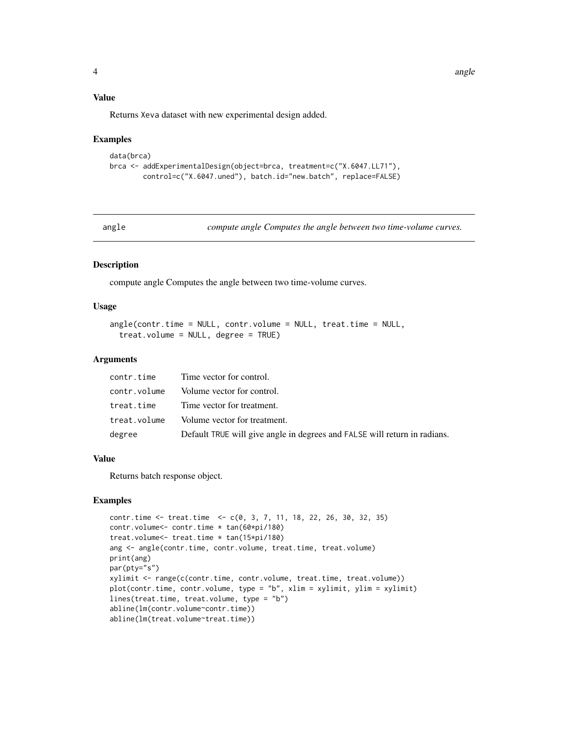# Value

Returns Xeva dataset with new experimental design added.

#### Examples

```
data(brca)
brca <- addExperimentalDesign(object=brca, treatment=c("X.6047.LL71"),
       control=c("X.6047.uned"), batch.id="new.batch", replace=FALSE)
```
angle *compute angle Computes the angle between two time-volume curves.*

# Description

compute angle Computes the angle between two time-volume curves.

#### Usage

```
angle(contr.time = NULL, contr.volume = NULL, treat.time = NULL,
  treat.volume = NULL, degree = TRUE)
```
#### Arguments

|              | contr.time Time vector for control.                                       |
|--------------|---------------------------------------------------------------------------|
| contr.volume | Volume vector for control.                                                |
| treat.time   | Time vector for treatment.                                                |
| treat.volume | Volume vector for treatment.                                              |
| degree       | Default TRUE will give angle in degrees and FALSE will return in radians. |

# Value

Returns batch response object.

# Examples

```
contr.time <- treat.time <- c(0, 3, 7, 11, 18, 22, 26, 30, 32, 35)
contr.volume<- contr.time * tan(60*pi/180)
treat.volume<- treat.time * tan(15*pi/180)
ang <- angle(contr.time, contr.volume, treat.time, treat.volume)
print(ang)
par(pty="s")
xylimit <- range(c(contr.time, contr.volume, treat.time, treat.volume))
plot(contr.time, contr.volume, type = "b", xlim = xylimit, ylim = xylimit)
lines(treat.time, treat.volume, type = "b")
abline(lm(contr.volume~contr.time))
abline(lm(treat.volume~treat.time))
```
<span id="page-3-0"></span>4 angle 20 angle 20 angle 20 angle 20 angle 20 angle 20 angle 20 angle 20 angle 20 angle 20 angle 20 angle 20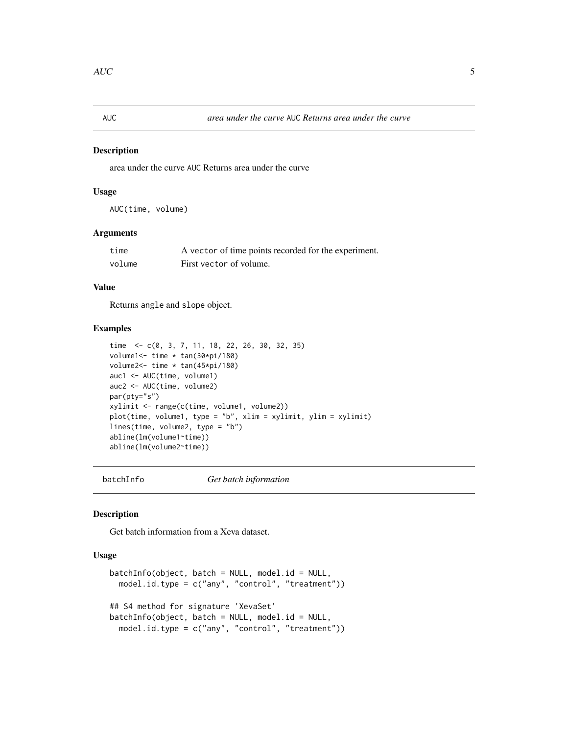<span id="page-4-0"></span>

#### Description

area under the curve AUC Returns area under the curve

#### Usage

AUC(time, volume)

#### Arguments

| time   | A vector of time points recorded for the experiment. |
|--------|------------------------------------------------------|
| volume | First vector of volume.                              |

# Value

Returns angle and slope object.

#### Examples

```
time <- c(0, 3, 7, 11, 18, 22, 26, 30, 32, 35)
volume1<- time * tan(30*pi/180)
volume2<- time * tan(45*pi/180)
auc1 <- AUC(time, volume1)
auc2 <- AUC(time, volume2)
par(pty="s")
xylimit <- range(c(time, volume1, volume2))
plot(time, volume1, type = "b", xlim = xylimit, ylim = xylimit)
lines(time, volume2, type = "b")
abline(lm(volume1~time))
abline(lm(volume2~time))
```
batchInfo *Get batch information*

#### Description

Get batch information from a Xeva dataset.

```
batchInfo(object, batch = NULL, model.id = NULL,model.id.type = c("any", "control", "treatment"))
## S4 method for signature 'XevaSet'
batchInfo(object, batch = NULL, model.id = NULL,
 model.id.type = c("any", "control", "treatment"))
```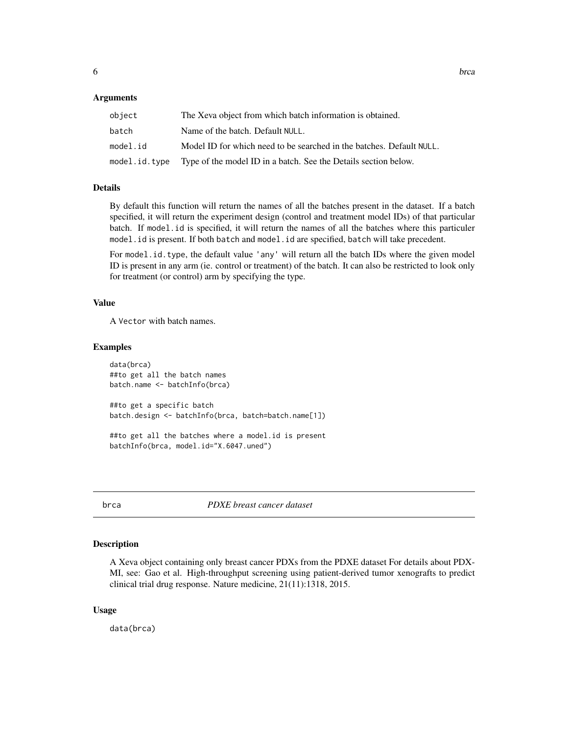#### <span id="page-5-0"></span>Arguments

| object   | The Xeva object from which batch information is obtained.                          |
|----------|------------------------------------------------------------------------------------|
| batch    | Name of the batch. Default NULL.                                                   |
| model.id | Model ID for which need to be searched in the batches. Default NULL.               |
|          | model i. i.d. type Type of the model ID in a batch. See the Details section below. |

#### Details

By default this function will return the names of all the batches present in the dataset. If a batch specified, it will return the experiment design (control and treatment model IDs) of that particular batch. If model.id is specified, it will return the names of all the batches where this particuler model.id is present. If both batch and model.id are specified, batch will take precedent.

For model.id.type, the default value 'any' will return all the batch IDs where the given model ID is present in any arm (ie. control or treatment) of the batch. It can also be restricted to look only for treatment (or control) arm by specifying the type.

#### Value

A Vector with batch names.

#### Examples

```
data(brca)
##to get all the batch names
batch.name <- batchInfo(brca)
##to get a specific batch
batch.design <- batchInfo(brca, batch=batch.name[1])
##to get all the batches where a model.id is present
```
batchInfo(brca, model.id="X.6047.uned")

```
brca PDXE breast cancer dataset
```
#### Description

A Xeva object containing only breast cancer PDXs from the PDXE dataset For details about PDX-MI, see: Gao et al. High-throughput screening using patient-derived tumor xenografts to predict clinical trial drug response. Nature medicine, 21(11):1318, 2015.

#### Usage

data(brca)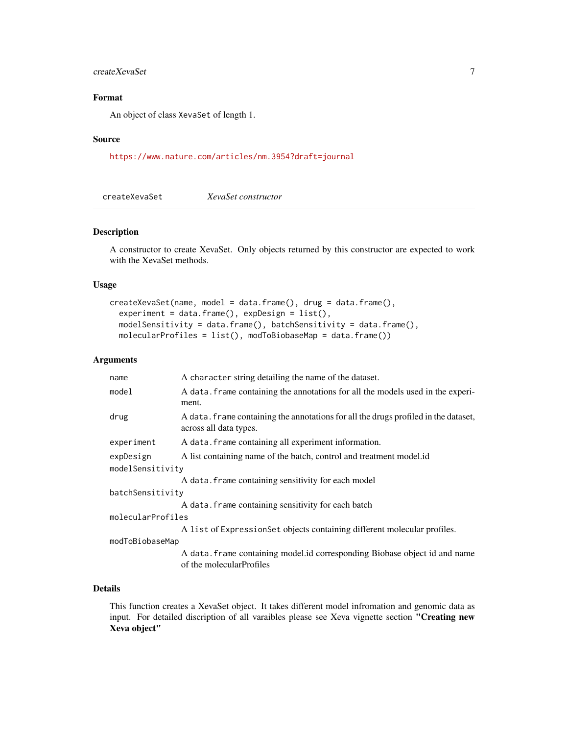# <span id="page-6-0"></span>createXevaSet 7

# Format

An object of class XevaSet of length 1.

#### Source

<https://www.nature.com/articles/nm.3954?draft=journal>

createXevaSet *XevaSet constructor*

#### Description

A constructor to create XevaSet. Only objects returned by this constructor are expected to work with the XevaSet methods.

#### Usage

```
createXevaSet(name, model = data.frame(), drug = data.frame(),
  experiment = data frame(), expDesign = list(),modelSensitivity = data.frame(), batchSensitivity = data.frame(),
 molecularProfiles = list(), modToBiobaseMap = data.frame())
```
#### Arguments

| name              | A character string detailing the name of the dataset.                                                         |
|-------------------|---------------------------------------------------------------------------------------------------------------|
| model             | A data. Frame containing the annotations for all the models used in the experi-<br>ment.                      |
| drug              | A data. Frame containing the annotations for all the drugs profiled in the dataset,<br>across all data types. |
| experiment        | A data. frame containing all experiment information.                                                          |
| expDesign         | A list containing name of the batch, control and treatment model.id                                           |
| modelSensitivity  |                                                                                                               |
|                   | A data. frame containing sensitivity for each model                                                           |
| batchSensitivity  |                                                                                                               |
|                   | A data. frame containing sensitivity for each batch                                                           |
| molecularProfiles |                                                                                                               |
|                   | A list of Expression Set objects containing different molecular profiles.                                     |
| modToBiobaseMap   |                                                                                                               |
|                   | A data. frame containing model.id corresponding Biobase object id and name<br>of the molecularProfiles        |

# Details

This function creates a XevaSet object. It takes different model infromation and genomic data as input. For detailed discription of all varaibles please see Xeva vignette section "Creating new Xeva object"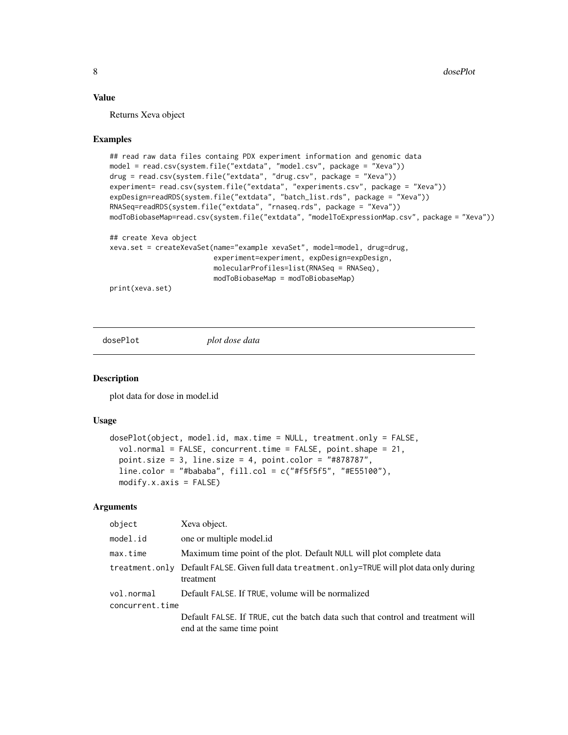#### <span id="page-7-0"></span>Value

Returns Xeva object

#### Examples

```
## read raw data files containg PDX experiment information and genomic data
model = read.csv(system.file("extdata", "model.csv", package = "Xeva"))
drug = read.csv(system.file("extdata", "drug.csv", package = "Xeva"))
experiment= read.csv(system.file("extdata", "experiments.csv", package = "Xeva"))
expDesign=readRDS(system.file("extdata", "batch_list.rds", package = "Xeva"))
RNASeq=readRDS(system.file("extdata", "rnaseq.rds", package = "Xeva"))
modToBiobaseMap=read.csv(system.file("extdata", "modelToExpressionMap.csv", package = "Xeva"))
## create Xeva object
xeva.set = createXevaSet(name="example xevaSet", model=model, drug=drug,
                         experiment=experiment, expDesign=expDesign,
                         molecularProfiles=list(RNASeq = RNASeq),
                         modToBiobaseMap = modToBiobaseMap)
```
print(xeva.set)

dosePlot *plot dose data*

#### Description

plot data for dose in model.id

# Usage

```
dosePlot(object, model.id, max.time = NULL, treatment.only = FALSE,
 vol.normal = FALSE, concurrent.time = FALSE, point.shape = 21,
  point.size = 3, line.size = 4, point.color = "#878787",line.color = "#bababa", fill.col = c("#f5f5f5", "#E55100"),
 modify.x.axis = FALSE)
```
#### **Arguments**

| object          | Xeva object.                                                                                                  |
|-----------------|---------------------------------------------------------------------------------------------------------------|
| model.id        | one or multiple model.id                                                                                      |
| max.time        | Maximum time point of the plot. Default NULL will plot complete data                                          |
|                 | treatment.only Default FALSE. Given full data treatment.only=TRUE will plot data only during<br>treatment     |
| vol.normal      | Default FALSE. If TRUE, volume will be normalized                                                             |
| concurrent.time |                                                                                                               |
|                 | Default FALSE. If TRUE, cut the batch data such that control and treatment will<br>end at the same time point |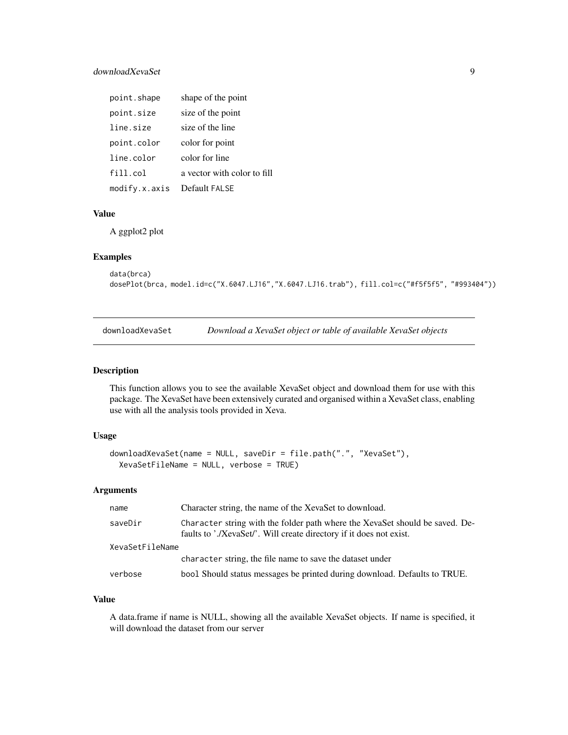# <span id="page-8-0"></span>downloadXevaSet 9

| point.shape   | shape of the point          |
|---------------|-----------------------------|
| point.size    | size of the point           |
| line.size     | size of the line            |
| point.color   | color for point             |
| line.color    | color for line              |
| fill.col      | a vector with color to fill |
| modify.x.axis | Default FALSE               |

# Value

A ggplot2 plot

#### Examples

```
data(brca)
dosePlot(brca, model.id=c("X.6047.LJ16","X.6047.LJ16.trab"), fill.col=c("#f5f5f5", "#993404"))
```
downloadXevaSet *Download a XevaSet object or table of available XevaSet objects*

#### Description

This function allows you to see the available XevaSet object and download them for use with this package. The XevaSet have been extensively curated and organised within a XevaSet class, enabling use with all the analysis tools provided in Xeva.

#### Usage

```
downloadXevaSet(name = NULL, saveDir = file.path(".", "XevaSet"),
 XevaSetFileName = NULL, verbose = TRUE)
```
# Arguments

| Character string, the name of the XevaSet to download.<br>name                                                                                                 |  |
|----------------------------------------------------------------------------------------------------------------------------------------------------------------|--|
| Character string with the folder path where the XevaSet should be saved. De-<br>saveDir<br>faults to './XevaSet/'. Will create directory if it does not exist. |  |
| XevaSetFileName                                                                                                                                                |  |
| character string, the file name to save the dataset under                                                                                                      |  |
| bool Should status messages be printed during download. Defaults to TRUE.<br>verbose                                                                           |  |

#### Value

A data.frame if name is NULL, showing all the available XevaSet objects. If name is specified, it will download the dataset from our server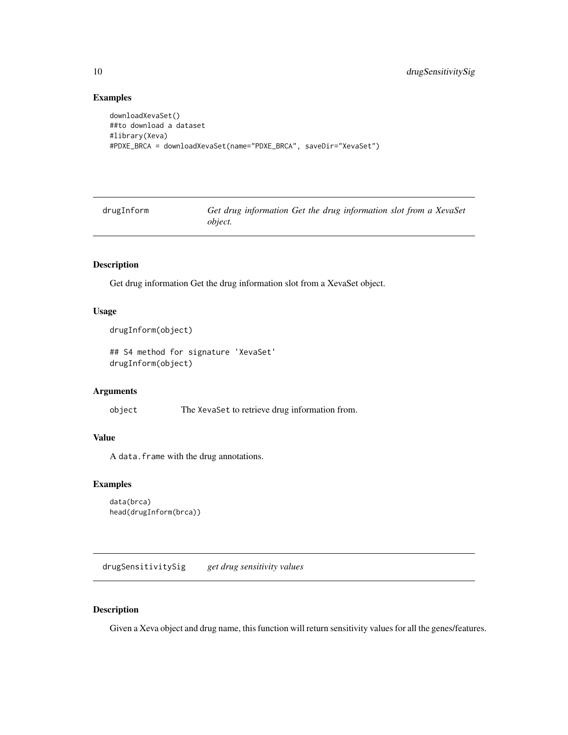# <span id="page-9-0"></span>Examples

```
downloadXevaSet()
##to download a dataset
#library(Xeva)
#PDXE_BRCA = downloadXevaSet(name="PDXE_BRCA", saveDir="XevaSet")
```
drugInform *Get drug information Get the drug information slot from a XevaSet object.*

# Description

Get drug information Get the drug information slot from a XevaSet object.

# Usage

```
drugInform(object)
```
## S4 method for signature 'XevaSet' drugInform(object)

# Arguments

object The XevaSet to retrieve drug information from.

# Value

A data.frame with the drug annotations.

# Examples

```
data(brca)
head(drugInform(brca))
```
drugSensitivitySig *get drug sensitivity values*

#### Description

Given a Xeva object and drug name, this function will return sensitivity values for all the genes/features.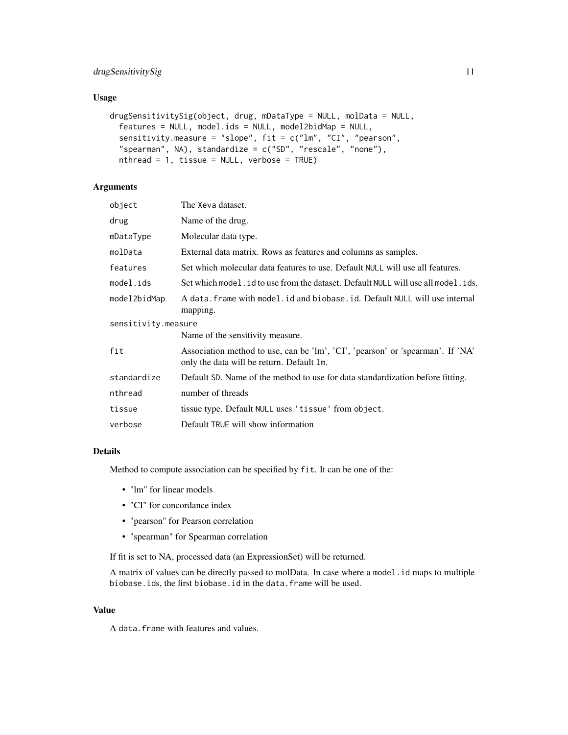# drugSensitivitySig 11

# Usage

```
drugSensitivitySig(object, drug, mDataType = NULL, molData = NULL,
  features = NULL, model.ids = NULL, model2bidMap = NULL,
  sensitivity.measure = "slope", fit = c("lm", "CI", "pearson","spearman", NA), standardize = c("SD", "rescale", "none"),
 nthread = 1, tissue = NULL, verbose = TRUE)
```
# Arguments

| object              | The Xeva dataset.                                                                                                           |
|---------------------|-----------------------------------------------------------------------------------------------------------------------------|
| drug                | Name of the drug.                                                                                                           |
| mDataType           | Molecular data type.                                                                                                        |
| molData             | External data matrix. Rows as features and columns as samples.                                                              |
| features            | Set which molecular data features to use. Default NULL will use all features.                                               |
| model.ids           | Set which model. id to use from the dataset. Default NULL will use all model. ids.                                          |
| model2bidMap        | A data. frame with model. id and biobase. id. Default NULL will use internal<br>mapping.                                    |
| sensitivity.measure |                                                                                                                             |
|                     | Name of the sensitivity measure.                                                                                            |
| fit                 | Association method to use, can be 'lm', 'CI', 'pearson' or 'spearman'. If 'NA'<br>only the data will be return. Default 1m. |
| standardize         | Default SD. Name of the method to use for data standardization before fitting.                                              |
| nthread             | number of threads                                                                                                           |
| tissue              | tissue type. Default NULL uses 'tissue' from object.                                                                        |
| verbose             | Default TRUE will show information                                                                                          |

#### Details

Method to compute association can be specified by fit. It can be one of the:

- "lm" for linear models
- "CI" for concordance index
- "pearson" for Pearson correlation
- "spearman" for Spearman correlation

If fit is set to NA, processed data (an ExpressionSet) will be returned.

A matrix of values can be directly passed to molData. In case where a model.id maps to multiple biobase.ids, the first biobase.id in the data.frame will be used.

#### Value

A data.frame with features and values.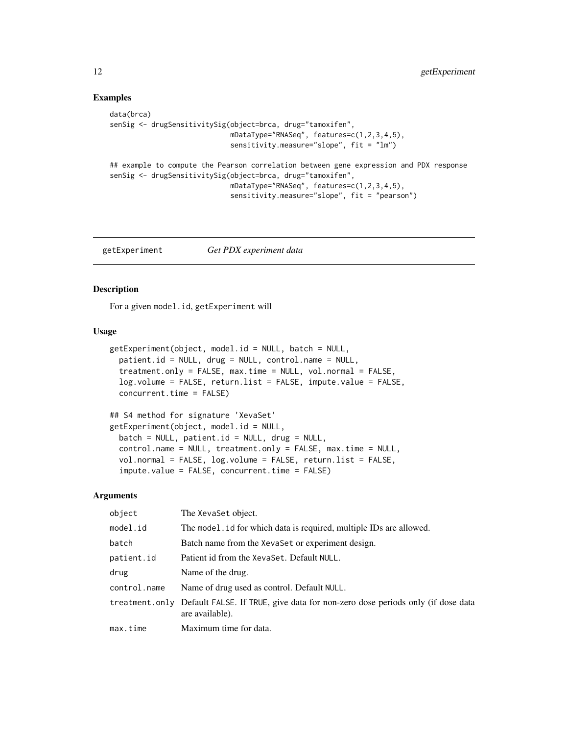# Examples

```
data(brca)
senSig <- drugSensitivitySig(object=brca, drug="tamoxifen",
                             mDataType="RNASeq", features=c(1,2,3,4,5),
                             sensitivity.measure="slope", fit = "lm")
## example to compute the Pearson correlation between gene expression and PDX response
senSig <- drugSensitivitySig(object=brca, drug="tamoxifen",
                             mDataType="RNASeq", features=c(1,2,3,4,5),
                             sensitivity.measure="slope", fit = "pearson")
```
getExperiment *Get PDX experiment data*

#### Description

For a given model.id, getExperiment will

# Usage

```
getExperiment(object, model.id = NULL, batch = NULL,
 patient.id = NULL, drug = NULL, control.name = NULL,
  treatment.only = FALSE, max.time = NULL, vol.normal = FALSE,
  log.volume = FALSE, return.list = FALSE, impute.value = FALSE,
  concurrent.time = FALSE)
```

```
## S4 method for signature 'XevaSet'
getExperiment(object, model.id = NULL,
 batch = NULL, patient.id = NULL, drug = NULL,
  control.name = NULL, treatment.only = FALSE, max.time = NULL,
  vol.normal = FALSE, log.volume = FALSE, return.list = FALSE,
  impute.value = FALSE, concurrent.time = FALSE)
```
# Arguments

| object       | The XevaSet object.                                                                                              |
|--------------|------------------------------------------------------------------------------------------------------------------|
| model.id     | The model . id for which data is required, multiple IDs are allowed.                                             |
| batch        | Batch name from the XevaSet or experiment design.                                                                |
| patient.id   | Patient id from the XevaSet. Default NULL.                                                                       |
| drug         | Name of the drug.                                                                                                |
| control.name | Name of drug used as control. Default NULL.                                                                      |
|              | treatment.only Default FALSE. If TRUE, give data for non-zero dose periods only (if dose data<br>are available). |
| max.time     | Maximum time for data.                                                                                           |

<span id="page-11-0"></span>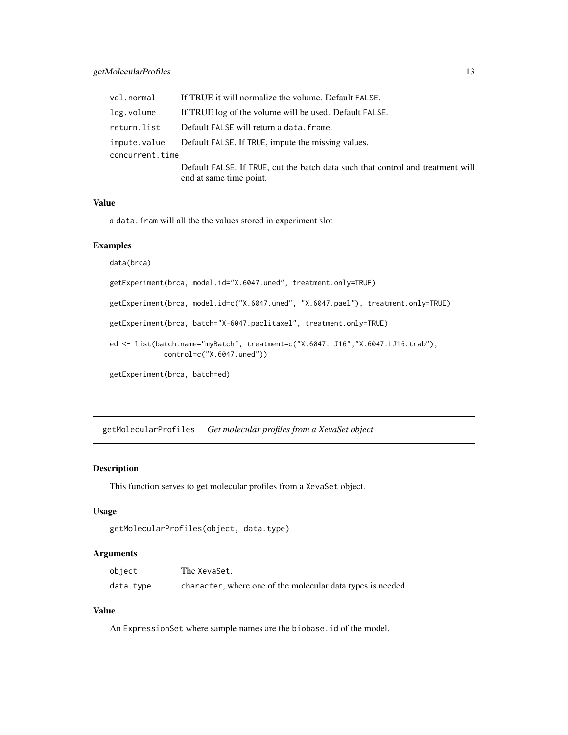# <span id="page-12-0"></span>getMolecularProfiles 13

|                 | vol.normal If TRUE it will normalize the volume. Default FALSE.                 |
|-----------------|---------------------------------------------------------------------------------|
| log.volume      | If TRUE log of the volume will be used. Default FALSE.                          |
| return.list     | Default FALSE will return a data. frame.                                        |
|                 | impute.value Default FALSE. If TRUE, impute the missing values.                 |
| concurrent.time |                                                                                 |
|                 | Default FALSE. If TRUE, cut the batch data such that control and treatment will |
|                 | end at same time point.                                                         |

#### Value

a data.fram will all the the values stored in experiment slot

### Examples

```
data(brca)
```
getExperiment(brca, model.id="X.6047.uned", treatment.only=TRUE)

getExperiment(brca, model.id=c("X.6047.uned", "X.6047.pael"), treatment.only=TRUE)

getExperiment(brca, batch="X-6047.paclitaxel", treatment.only=TRUE)

ed <- list(batch.name="myBatch", treatment=c("X.6047.LJ16","X.6047.LJ16.trab"), control=c("X.6047.uned"))

```
getExperiment(brca, batch=ed)
```
getMolecularProfiles *Get molecular profiles from a XevaSet object*

# Description

This function serves to get molecular profiles from a XevaSet object.

# Usage

```
getMolecularProfiles(object, data.type)
```
#### Arguments

| object    | The XevaSet.                                                |
|-----------|-------------------------------------------------------------|
| data.type | character, where one of the molecular data types is needed. |

# Value

An ExpressionSet where sample names are the biobase.id of the model.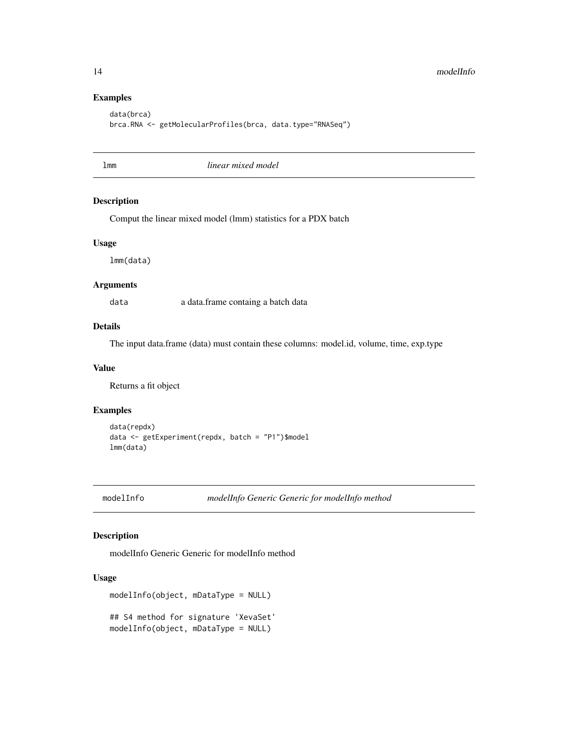# Examples

```
data(brca)
brca.RNA <- getMolecularProfiles(brca, data.type="RNASeq")
```
#### lmm *linear mixed model*

#### Description

Comput the linear mixed model (lmm) statistics for a PDX batch

#### Usage

lmm(data)

#### Arguments

data a data.frame containg a batch data

# Details

The input data.frame (data) must contain these columns: model.id, volume, time, exp.type

#### Value

Returns a fit object

# Examples

```
data(repdx)
data <- getExperiment(repdx, batch = "P1")$model
lmm(data)
```
modelInfo *modelInfo Generic Generic for modelInfo method*

# Description

modelInfo Generic Generic for modelInfo method

```
modelInfo(object, mDataType = NULL)
## S4 method for signature 'XevaSet'
modelInfo(object, mDataType = NULL)
```
<span id="page-13-0"></span>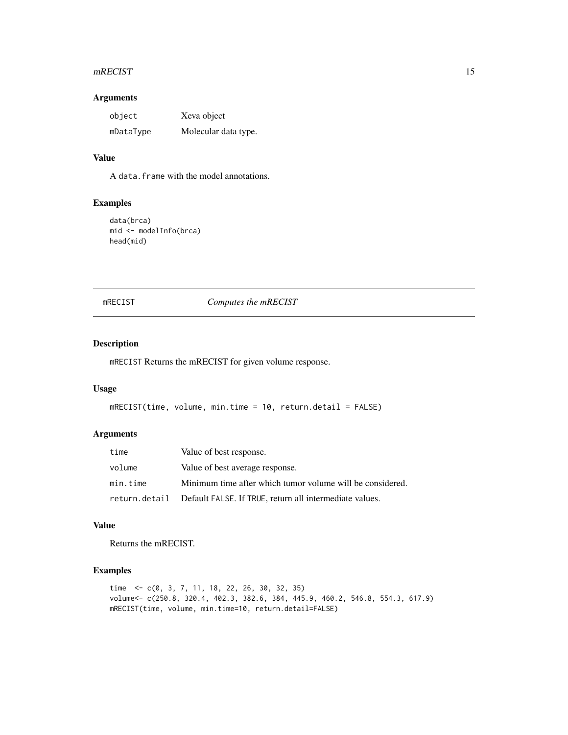#### <span id="page-14-0"></span>mRECIST 15

# Arguments

| object    | Xeva object          |
|-----------|----------------------|
| mDataType | Molecular data type. |

# Value

A data.frame with the model annotations.

# Examples

```
data(brca)
mid <- modelInfo(brca)
head(mid)
```
# mRECIST *Computes the mRECIST*

# Description

mRECIST Returns the mRECIST for given volume response.

#### Usage

```
mRECIST(time, volume, min.time = 10, return.detail = FALSE)
```
# Arguments

| time     | Value of best response.                                               |
|----------|-----------------------------------------------------------------------|
| volume   | Value of best average response.                                       |
| min.time | Minimum time after which tumor volume will be considered.             |
|          | return.detail Default FALSE. If TRUE, return all intermediate values. |

# Value

Returns the mRECIST.

# Examples

```
time <- c(0, 3, 7, 11, 18, 22, 26, 30, 32, 35)
volume<- c(250.8, 320.4, 402.3, 382.6, 384, 445.9, 460.2, 546.8, 554.3, 617.9)
mRECIST(time, volume, min.time=10, return.detail=FALSE)
```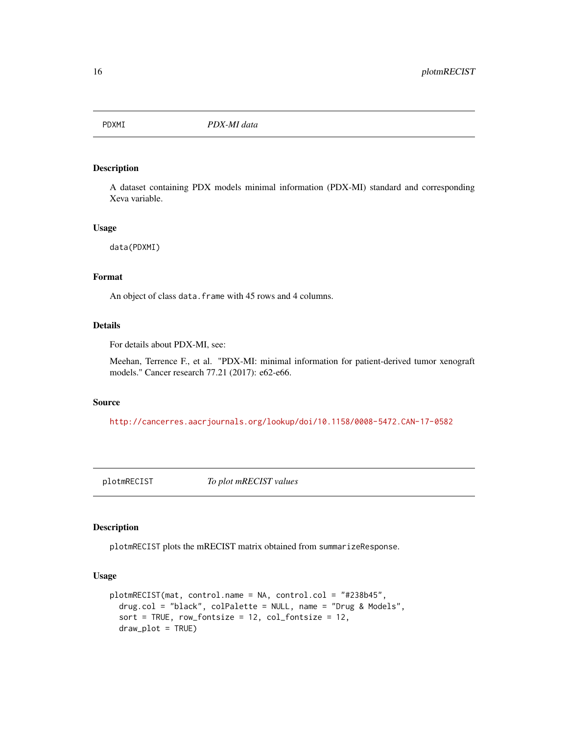<span id="page-15-0"></span>

# Description

A dataset containing PDX models minimal information (PDX-MI) standard and corresponding Xeva variable.

#### Usage

data(PDXMI)

#### Format

An object of class data. frame with 45 rows and 4 columns.

#### Details

For details about PDX-MI, see:

Meehan, Terrence F., et al. "PDX-MI: minimal information for patient-derived tumor xenograft models." Cancer research 77.21 (2017): e62-e66.

#### Source

<http://cancerres.aacrjournals.org/lookup/doi/10.1158/0008-5472.CAN-17-0582>

plotmRECIST *To plot mRECIST values*

# Description

plotmRECIST plots the mRECIST matrix obtained from summarizeResponse.

```
plotmRECIST(mat, control.name = NA, control.col = "#238b45",
  drug.col = "black", colPalette = NULL, name = "Drug & Models",
  sort = TRUE, row_fontsize = 12, col_fontsize = 12,
  draw_plot = TRUE)
```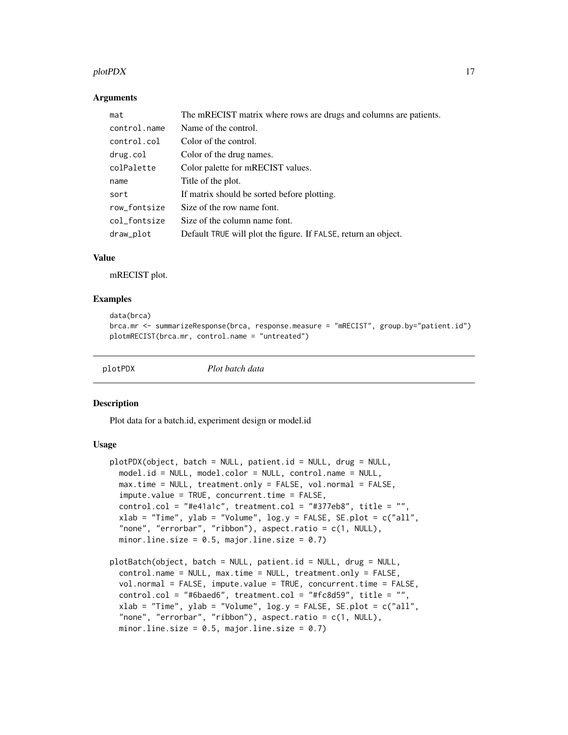#### <span id="page-16-0"></span> $p$ lot $PDX$  17

#### **Arguments**

| mat          | The mRECIST matrix where rows are drugs and columns are patients. |
|--------------|-------------------------------------------------------------------|
| control.name | Name of the control.                                              |
| control.col  | Color of the control.                                             |
| drug.col     | Color of the drug names.                                          |
| colPalette   | Color palette for mRECIST values.                                 |
| name         | Title of the plot.                                                |
| sort         | If matrix should be sorted before plotting.                       |
| row_fontsize | Size of the row name font.                                        |
| col_fontsize | Size of the column name font.                                     |
| draw_plot    | Default TRUE will plot the figure. If FALSE, return an object.    |

#### Value

mRECIST plot.

#### Examples

```
data(brca)
brca.mr <- summarizeResponse(brca, response.measure = "mRECIST", group.by="patient.id")
plotmRECIST(brca.mr, control.name = "untreated")
```

```
plotPDX Plot batch data
```
#### Description

Plot data for a batch.id, experiment design or model.id

```
plotPDX(object, batch = NULL, patient.id = NULL, drug = NULL,
 model.id = NULL, model.color = NULL, control.name = NULL,
 max.time = NULL, treatment.only = FALSE, vol.normal = FALSE,
  impute.value = TRUE, concurrent.time = FALSE,
 control,col = "#e41a1c", treatment,col = "#377eb8", title = "",xlab = "Time", ylab = "Volume", log.y = FALSE, SE.plot = c("all","none", "errorbar", "ribbon"), aspect.ratio = c(1, NULL),
 minor.line.size = 0.5, major.line.size = 0.7)
plotBatch(object, batch = NULL, patient.id = NULL, drug = NULL,
  control.name = NULL, max.time = NULL, treatment.only = FALSE,
```

```
vol.normal = FALSE, impute.value = TRUE, concurrent.time = FALSE,
control.col = "#6baed6", treatment.col = "#fc8d59", title = "",
xlab = "Time", ylab = "Volume", log.y = FALSE, SE.plot = c("all","none", "errorbar", "ribbon"), aspect.ratio = c(1, NULL),
minor.line.size = 0.5, major.line.size = 0.7)
```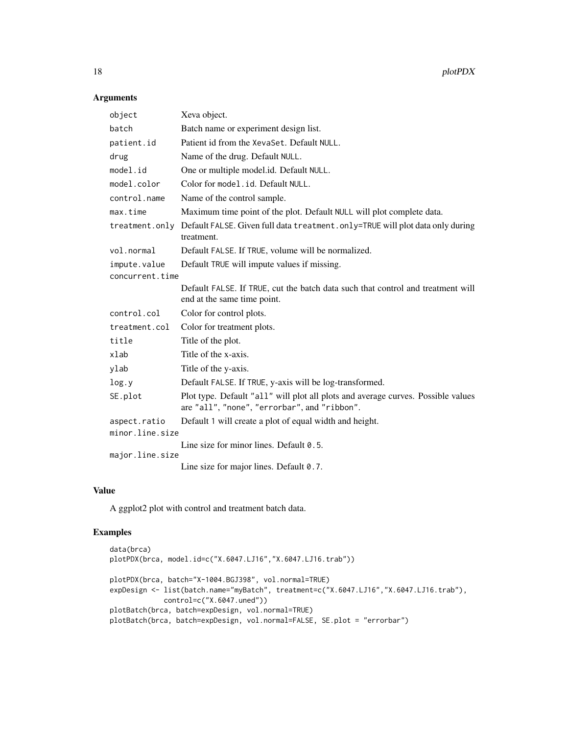# Arguments

| object          | Xeva object.                                                                                                                     |  |
|-----------------|----------------------------------------------------------------------------------------------------------------------------------|--|
| batch           | Batch name or experiment design list.                                                                                            |  |
| patient.id      | Patient id from the XevaSet. Default NULL.                                                                                       |  |
| drug            | Name of the drug. Default NULL.                                                                                                  |  |
| model.id        | One or multiple model.id. Default NULL.                                                                                          |  |
| model.color     | Color for model.id. Default NULL.                                                                                                |  |
| control.name    | Name of the control sample.                                                                                                      |  |
| max.time        | Maximum time point of the plot. Default NULL will plot complete data.                                                            |  |
| treatment.only  | Default FALSE. Given full data treatment. only=TRUE will plot data only during<br>treatment.                                     |  |
| vol.normal      | Default FALSE. If TRUE, volume will be normalized.                                                                               |  |
| impute.value    | Default TRUE will impute values if missing.                                                                                      |  |
| concurrent.time |                                                                                                                                  |  |
|                 | Default FALSE. If TRUE, cut the batch data such that control and treatment will<br>end at the same time point.                   |  |
| control.col     | Color for control plots.                                                                                                         |  |
| treatment.col   | Color for treatment plots.                                                                                                       |  |
| title           | Title of the plot.                                                                                                               |  |
| xlab            | Title of the x-axis.                                                                                                             |  |
| ylab            | Title of the y-axis.                                                                                                             |  |
| log.y           | Default FALSE. If TRUE, y-axis will be log-transformed.                                                                          |  |
| SE.plot         | Plot type. Default "all" will plot all plots and average curves. Possible values<br>are "all", "none", "errorbar", and "ribbon". |  |
| aspect.ratio    | Default 1 will create a plot of equal width and height.                                                                          |  |
| minor.line.size |                                                                                                                                  |  |
|                 | Line size for minor lines. Default 0.5.                                                                                          |  |
| major.line.size |                                                                                                                                  |  |
|                 | Line size for major lines. Default 0.7.                                                                                          |  |

# Value

A ggplot2 plot with control and treatment batch data.

# Examples

```
data(brca)
plotPDX(brca, model.id=c("X.6047.LJ16","X.6047.LJ16.trab"))
plotPDX(brca, batch="X-1004.BGJ398", vol.normal=TRUE)
expDesign <- list(batch.name="myBatch", treatment=c("X.6047.LJ16","X.6047.LJ16.trab"),
            control=c("X.6047.uned"))
plotBatch(brca, batch=expDesign, vol.normal=TRUE)
plotBatch(brca, batch=expDesign, vol.normal=FALSE, SE.plot = "errorbar")
```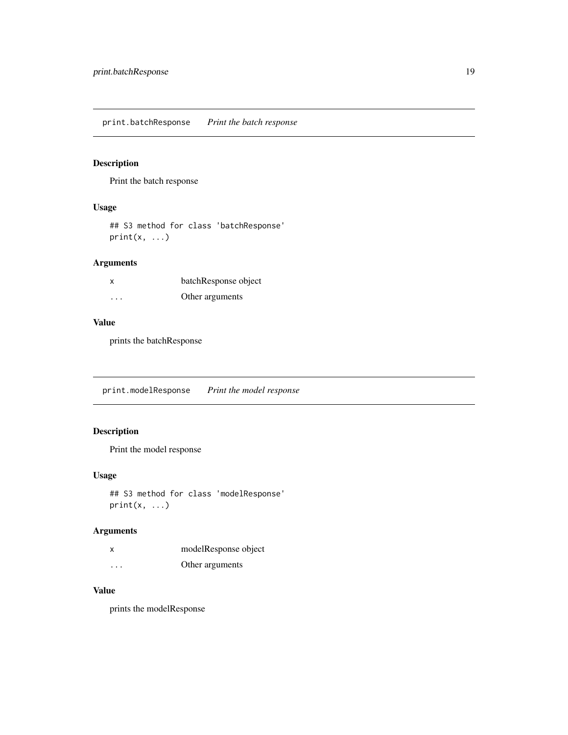<span id="page-18-0"></span>print.batchResponse *Print the batch response*

# Description

Print the batch response

# Usage

## S3 method for class 'batchResponse'  $print(x, \ldots)$ 

# Arguments

| x                       | batchResponse object |
|-------------------------|----------------------|
| $\cdot$ $\cdot$ $\cdot$ | Other arguments      |

# Value

prints the batchResponse

print.modelResponse *Print the model response*

# Description

Print the model response

### Usage

## S3 method for class 'modelResponse'  $print(x, \ldots)$ 

# Arguments

| X        | modelResponse object |
|----------|----------------------|
| $\cdots$ | Other arguments      |

### Value

prints the modelResponse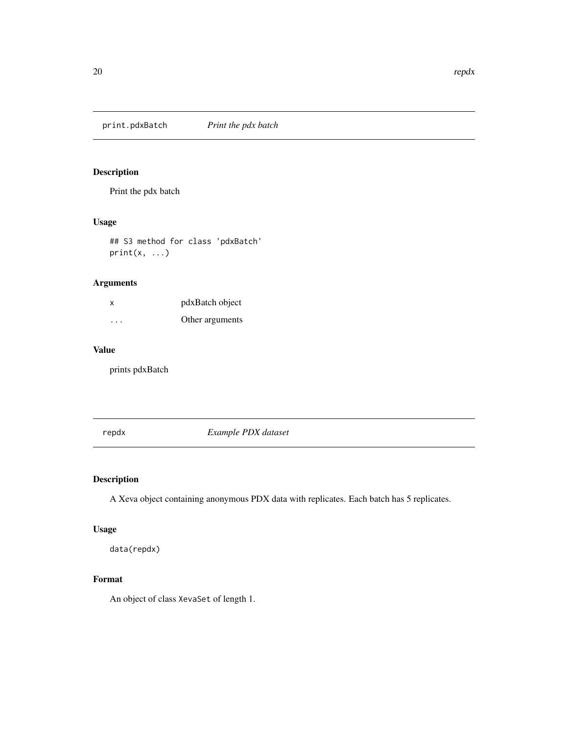<span id="page-19-0"></span>print.pdxBatch *Print the pdx batch*

# Description

Print the pdx batch

# Usage

## S3 method for class 'pdxBatch'  $print(x, \ldots)$ 

# Arguments

| x        | pdxBatch object |
|----------|-----------------|
| $\cdots$ | Other arguments |

# Value

prints pdxBatch

repdx *Example PDX dataset*

# Description

A Xeva object containing anonymous PDX data with replicates. Each batch has 5 replicates.

# Usage

data(repdx)

# Format

An object of class XevaSet of length 1.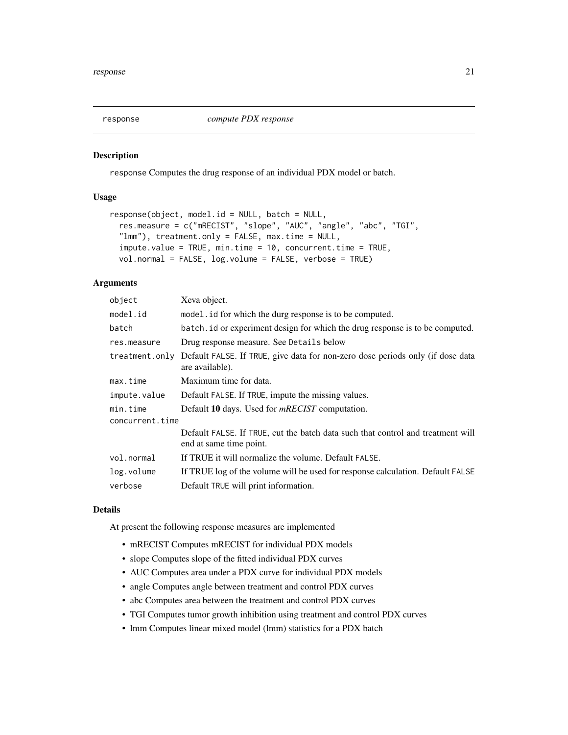<span id="page-20-0"></span>

#### Description

response Computes the drug response of an individual PDX model or batch.

#### Usage

```
response(object, model.id = NULL, batch = NULL,
  res.measure = c("mRECIST", "slope", "AUC", "angle", "abc", "TGI",
  "lmm"), treatment.only = FALSE, max.time = NULL,
  impute.value = TRUE, min.time = 10, concurrent.time = TRUE,
  vol.normal = FALSE, log.volume = FALSE, verbose = TRUE)
```
# Arguments

| object          | Xeva object.                                                                                               |  |
|-----------------|------------------------------------------------------------------------------------------------------------|--|
| model.id        | model id for which the durg response is to be computed.                                                    |  |
| batch           | batch, id or experiment design for which the drug response is to be computed.                              |  |
| res.measure     | Drug response measure. See Details below                                                                   |  |
| treatment.only  | Default FALSE. If TRUE, give data for non-zero dose periods only (if dose data<br>are available).          |  |
| max.time        | Maximum time for data.                                                                                     |  |
| impute.value    | Default FALSE. If TRUE, impute the missing values.                                                         |  |
| min.time        | Default 10 days. Used for <i>mRECIST</i> computation.                                                      |  |
| concurrent.time |                                                                                                            |  |
|                 | Default FALSE. If TRUE, cut the batch data such that control and treatment will<br>end at same time point. |  |
| vol.normal      | If TRUE it will normalize the volume. Default FALSE.                                                       |  |
| log.volume      | If TRUE log of the volume will be used for response calculation. Default FALSE                             |  |
| verbose         | Default TRUE will print information.                                                                       |  |

### Details

At present the following response measures are implemented

- mRECIST Computes mRECIST for individual PDX models
- slope Computes slope of the fitted individual PDX curves
- AUC Computes area under a PDX curve for individual PDX models
- angle Computes angle between treatment and control PDX curves
- abc Computes area between the treatment and control PDX curves
- TGI Computes tumor growth inhibition using treatment and control PDX curves
- lmm Computes linear mixed model (lmm) statistics for a PDX batch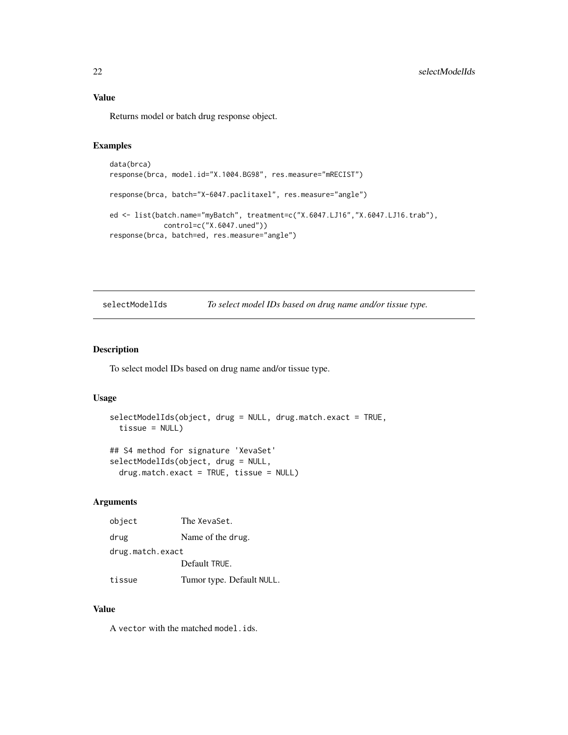Returns model or batch drug response object.

#### Examples

```
data(brca)
response(brca, model.id="X.1004.BG98", res.measure="mRECIST")
response(brca, batch="X-6047.paclitaxel", res.measure="angle")
ed <- list(batch.name="myBatch", treatment=c("X.6047.LJ16","X.6047.LJ16.trab"),
            control=c("X.6047.uned"))
response(brca, batch=ed, res.measure="angle")
```
selectModelIds *To select model IDs based on drug name and/or tissue type.*

#### Description

To select model IDs based on drug name and/or tissue type.

# Usage

```
selectModelIds(object, drug = NULL, drug.match.exact = TRUE,
  tissue = NULL)
## S4 method for signature 'XevaSet'
selectModelIds(object, drug = NULL,
 drug.match.exact = TRUE, tissue = NULL)
```
#### Arguments

| object           | The XevaSet.              |
|------------------|---------------------------|
| drug             | Name of the drug.         |
| drug.match.exact |                           |
|                  | Default TRUE.             |
| tissue           | Tumor type. Default NULL. |

#### Value

A vector with the matched model.ids.

<span id="page-21-0"></span>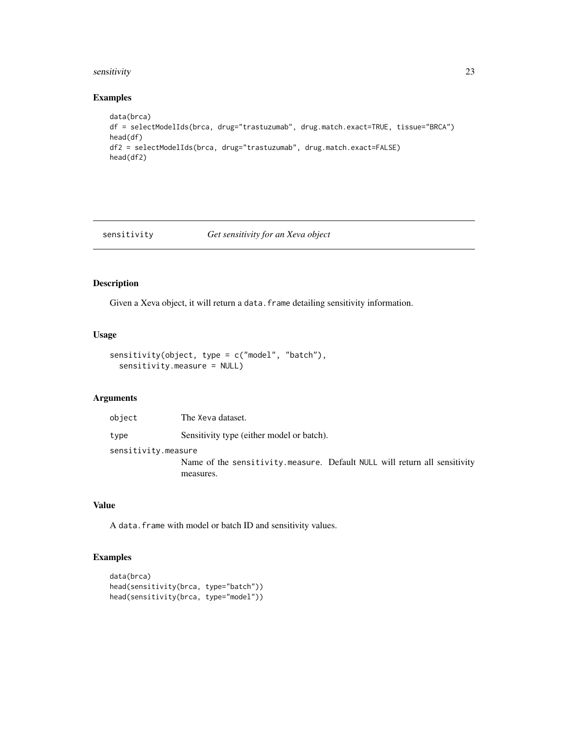# <span id="page-22-0"></span>sensitivity 23

# Examples

```
data(brca)
df = selectModelIds(brca, drug="trastuzumab", drug.match.exact=TRUE, tissue="BRCA")
head(df)
df2 = selectModelIds(brca, drug="trastuzumab", drug.match.exact=FALSE)
head(df2)
```
sensitivity *Get sensitivity for an Xeva object*

# Description

Given a Xeva object, it will return a data. frame detailing sensitivity information.

#### Usage

```
sensitivity(object, type = c("model", "batch"),
  sensitivity.measure = NULL)
```
# Arguments

| object              | The Xeva dataset.                                                                      |
|---------------------|----------------------------------------------------------------------------------------|
| type                | Sensitivity type (either model or batch).                                              |
| sensitivity.measure |                                                                                        |
|                     | Name of the sensitivity measure. Default NULL will return all sensitivity<br>measures. |

#### Value

A data.frame with model or batch ID and sensitivity values.

# Examples

```
data(brca)
head(sensitivity(brca, type="batch"))
head(sensitivity(brca, type="model"))
```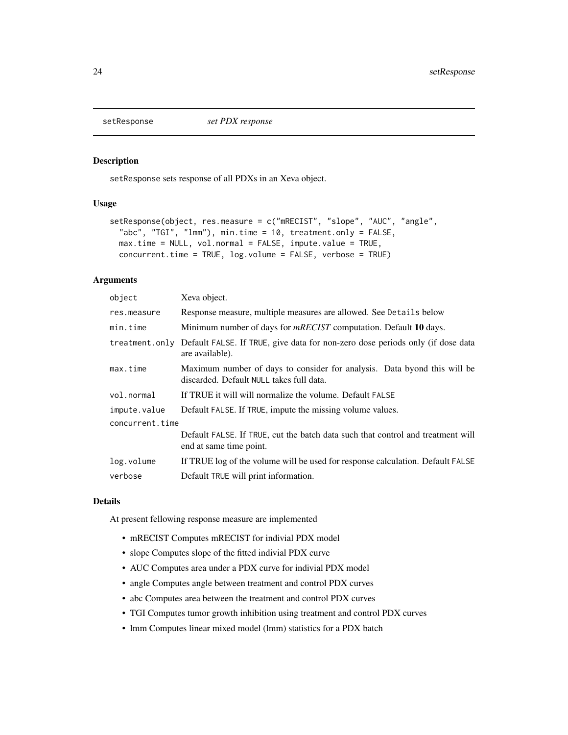<span id="page-23-0"></span>

#### Description

setResponse sets response of all PDXs in an Xeva object.

# Usage

```
setResponse(object, res.measure = c("mRECIST", "slope", "AUC", "angle",
  "abc", "TGI", "lmm"), min.time = 10, treatment.only = FALSE,
 max.time = NULL, vol.normal = FALSE, impute.value = TRUE,
 concurrent.time = TRUE, log.volume = FALSE, verbose = TRUE)
```
#### **Arguments**

| object          | Xeva object.                                                                                                         |
|-----------------|----------------------------------------------------------------------------------------------------------------------|
| res.measure     | Response measure, multiple measures are allowed. See Details below                                                   |
| min.time        | Minimum number of days for <i>mRECIST</i> computation. Default 10 days.                                              |
| treatment.only  | Default FALSE. If TRUE, give data for non-zero dose periods only (if dose data<br>are available).                    |
| max.time        | Maximum number of days to consider for analysis. Data byond this will be<br>discarded. Default NULL takes full data. |
| vol.normal      | If TRUE it will will normalize the volume. Default FALSE                                                             |
| impute.value    | Default FALSE. If TRUE, impute the missing volume values.                                                            |
| concurrent.time |                                                                                                                      |
|                 | Default FALSE. If TRUE, cut the batch data such that control and treatment will<br>end at same time point.           |
| log.volume      | If TRUE log of the volume will be used for response calculation. Default FALSE                                       |
| verbose         | Default TRUE will print information.                                                                                 |

#### Details

At present fellowing response measure are implemented

- mRECIST Computes mRECIST for indivial PDX model
- slope Computes slope of the fitted indivial PDX curve
- AUC Computes area under a PDX curve for indivial PDX model
- angle Computes angle between treatment and control PDX curves
- abc Computes area between the treatment and control PDX curves
- TGI Computes tumor growth inhibition using treatment and control PDX curves
- lmm Computes linear mixed model (lmm) statistics for a PDX batch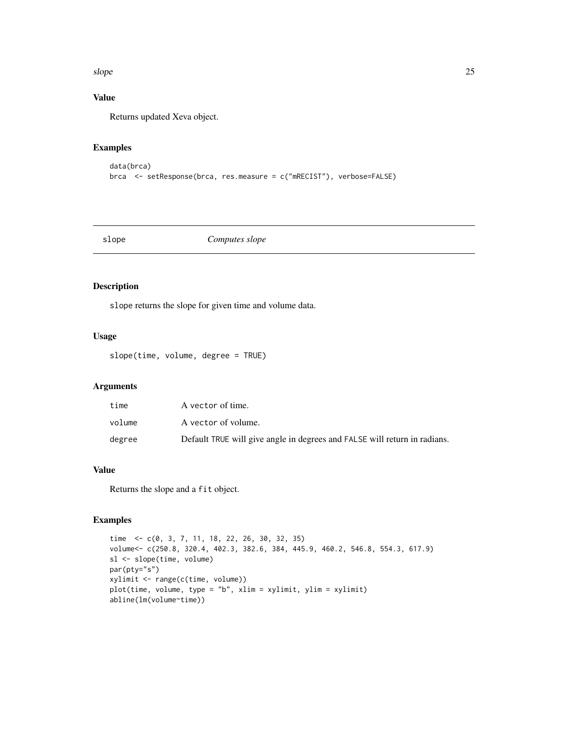#### <span id="page-24-0"></span>slope 25

# Value

Returns updated Xeva object.

# Examples

```
data(brca)
brca <- setResponse(brca, res.measure = c("mRECIST"), verbose=FALSE)
```
# slope *Computes slope*

# Description

slope returns the slope for given time and volume data.

# Usage

slope(time, volume, degree = TRUE)

# Arguments

| time   | A vector of time.                                                         |
|--------|---------------------------------------------------------------------------|
| volume | A vector of volume.                                                       |
| degree | Default TRUE will give angle in degrees and FALSE will return in radians. |

# Value

Returns the slope and a fit object.

# Examples

```
time <- c(0, 3, 7, 11, 18, 22, 26, 30, 32, 35)
volume<- c(250.8, 320.4, 402.3, 382.6, 384, 445.9, 460.2, 546.8, 554.3, 617.9)
sl <- slope(time, volume)
par(pty="s")
xylimit <- range(c(time, volume))
plot(time, volume, type = "b", xlim = xylimit, ylim = xylimit)
abline(lm(volume~time))
```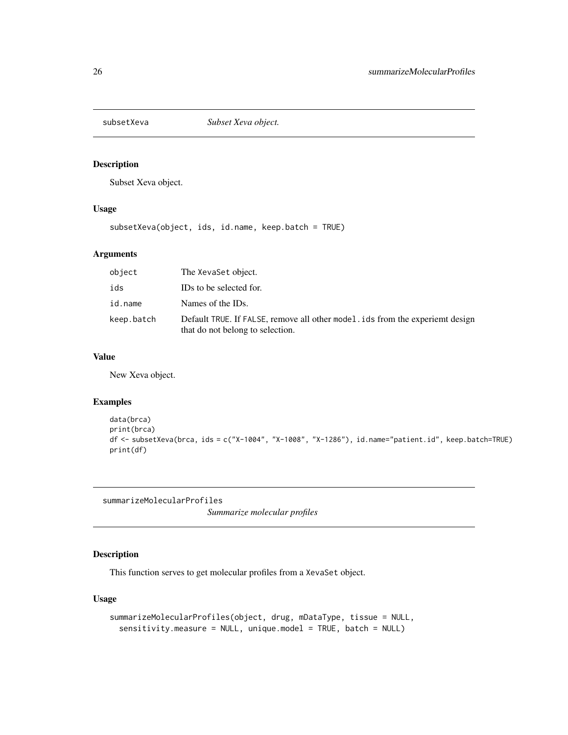<span id="page-25-0"></span>

# Description

Subset Xeva object.

# Usage

subsetXeva(object, ids, id.name, keep.batch = TRUE)

#### Arguments

| object     | The XevaSet object.                                                                                                   |
|------------|-----------------------------------------------------------------------------------------------------------------------|
| ids        | IDs to be selected for.                                                                                               |
| id.name    | Names of the IDs.                                                                                                     |
| keep.batch | Default TRUE. If FALSE, remove all other model is distributed by experient design<br>that do not belong to selection. |

# Value

New Xeva object.

# Examples

```
data(brca)
print(brca)
df <- subsetXeva(brca, ids = c("X-1004", "X-1008", "X-1286"), id.name="patient.id", keep.batch=TRUE)
print(df)
```
summarizeMolecularProfiles

*Summarize molecular profiles*

# Description

This function serves to get molecular profiles from a XevaSet object.

```
summarizeMolecularProfiles(object, drug, mDataType, tissue = NULL,
 sensitivity.measure = NULL, unique.model = TRUE, batch = NULL)
```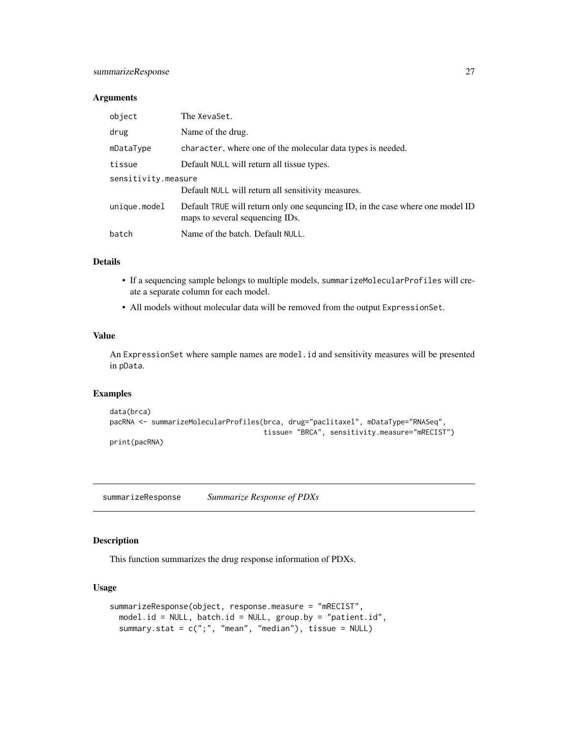# <span id="page-26-0"></span>summarizeResponse 27

#### Arguments

| object              | The XevaSet.                                                                                                      |
|---------------------|-------------------------------------------------------------------------------------------------------------------|
| drug                | Name of the drug.                                                                                                 |
| mDataType           | character, where one of the molecular data types is needed.                                                       |
| tissue              | Default NULL will return all tissue types.                                                                        |
| sensitivity.measure |                                                                                                                   |
|                     | Default NULL will return all sensitivity measures.                                                                |
| unique.model        | Default TRUE will return only one sequncing ID, in the case where one model ID<br>maps to several sequencing IDs. |
| batch               | Name of the batch. Default NULL.                                                                                  |

#### Details

- If a sequencing sample belongs to multiple models, summarizeMolecularProfiles will create a separate column for each model.
- All models without molecular data will be removed from the output ExpressionSet.

#### Value

An ExpressionSet where sample names are model.id and sensitivity measures will be presented in pData.

# Examples

```
data(brca)
pacRNA <- summarizeMolecularProfiles(brca, drug="paclitaxel", mDataType="RNASeq",
                                     tissue= "BRCA", sensitivity.measure="mRECIST")
print(pacRNA)
```
summarizeResponse *Summarize Response of PDXs*

# Description

This function summarizes the drug response information of PDXs.

```
summarizeResponse(object, response.measure = "mRECIST",
 model.id = NULL, batch.id = NULL, group.by = "patient.id",
  summary.stat = c(";", "mean", "median"), tissue = NULL)
```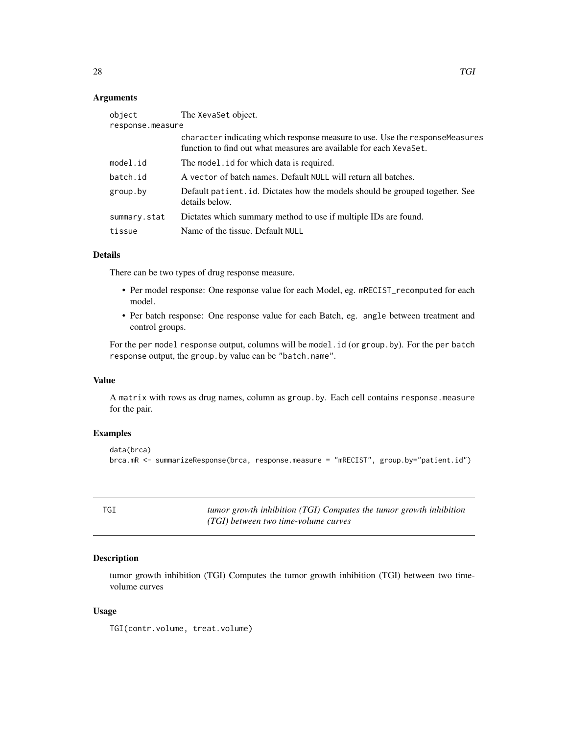#### <span id="page-27-0"></span>Arguments

| The XevaSet object.                                                                                                                                 |
|-----------------------------------------------------------------------------------------------------------------------------------------------------|
| response.measure                                                                                                                                    |
| character indicating which response measure to use. Use the response Measures<br>function to find out what measures are available for each XevaSet. |
| The model id for which data is required.                                                                                                            |
| A vector of batch names. Default NULL will return all batches.                                                                                      |
| Default patient. id. Dictates how the models should be grouped together. See<br>details below.                                                      |
| Dictates which summary method to use if multiple IDs are found.                                                                                     |
| Name of the tissue. Default NULL                                                                                                                    |
|                                                                                                                                                     |

#### Details

There can be two types of drug response measure.

- Per model response: One response value for each Model, eg. mRECIST\_recomputed for each model.
- Per batch response: One response value for each Batch, eg. angle between treatment and control groups.

For the per model response output, columns will be model.id (or group.by). For the per batch response output, the group.by value can be "batch.name".

#### Value

A matrix with rows as drug names, column as group.by. Each cell contains response.measure for the pair.

# Examples

```
data(brca)
brca.mR <- summarizeResponse(brca, response.measure = "mRECIST", group.by="patient.id")
```

| ÷ | ۹<br>۰.<br>×<br>I |  |
|---|-------------------|--|
|   | $\sim$            |  |

TGI *tumor growth inhibition (TGI) Computes the tumor growth inhibition (TGI) between two time-volume curves*

#### Description

tumor growth inhibition (TGI) Computes the tumor growth inhibition (TGI) between two timevolume curves

#### Usage

TGI(contr.volume, treat.volume)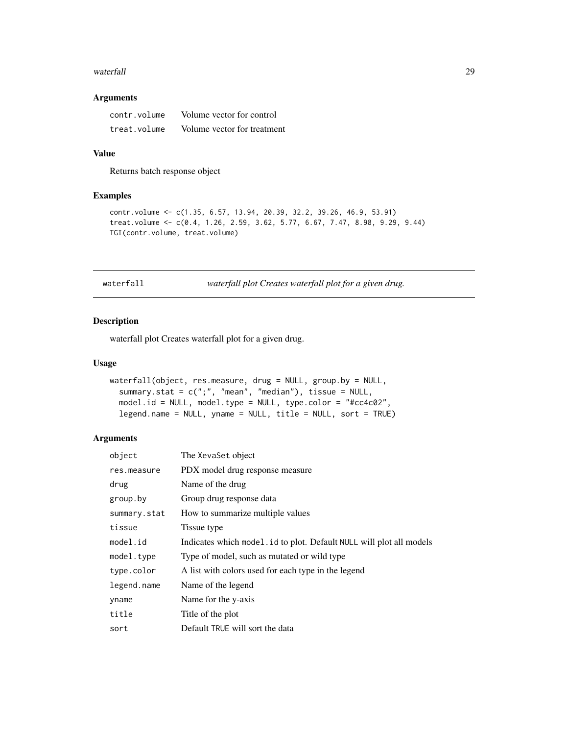#### <span id="page-28-0"></span>waterfall 29

# Arguments

| contr.volume | Volume vector for control   |
|--------------|-----------------------------|
| treat.volume | Volume vector for treatment |

### Value

Returns batch response object

# Examples

```
contr.volume <- c(1.35, 6.57, 13.94, 20.39, 32.2, 39.26, 46.9, 53.91)
treat.volume <- c(0.4, 1.26, 2.59, 3.62, 5.77, 6.67, 7.47, 8.98, 9.29, 9.44)
TGI(contr.volume, treat.volume)
```
waterfall *waterfall plot Creates waterfall plot for a given drug.*

# Description

waterfall plot Creates waterfall plot for a given drug.

#### Usage

```
waterfall(object, res.measure, drug = NULL, group.by = NULL,
 summary.stat = c(";", "mean", "median"), tissue = NULL,
 model.id = NULL, model.type = NULL, type.color = "#cc4c02",
  legend.name = NULL, yname = NULL, title = NULL, sort = TRUE)
```
#### Arguments

| object       | The XevaSet object                                                  |
|--------------|---------------------------------------------------------------------|
| res.measure  | PDX model drug response measure                                     |
| drug         | Name of the drug                                                    |
| group.by     | Group drug response data                                            |
| summary.stat | How to summarize multiple values                                    |
| tissue       | Tissue type                                                         |
| model.id     | Indicates which model id to plot. Default NULL will plot all models |
| model.type   | Type of model, such as mutated or wild type                         |
| type.color   | A list with colors used for each type in the legend                 |
| legend.name  | Name of the legend                                                  |
| yname        | Name for the y-axis                                                 |
| title        | Title of the plot                                                   |
| sort         | Default TRUE will sort the data                                     |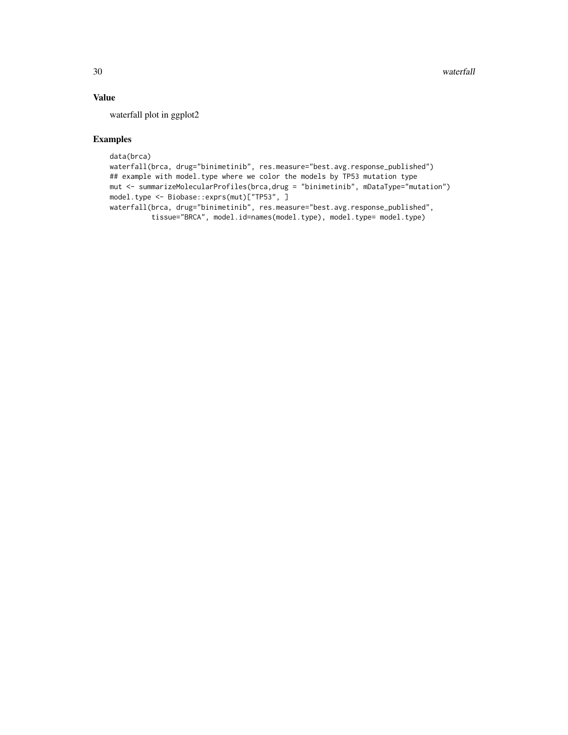# Value

waterfall plot in ggplot2

# Examples

```
data(brca)
waterfall(brca, drug="binimetinib", res.measure="best.avg.response_published")
## example with model.type where we color the models by TP53 mutation type
mut <- summarizeMolecularProfiles(brca,drug = "binimetinib", mDataType="mutation")
model.type <- Biobase::exprs(mut)["TP53", ]
waterfall(brca, drug="binimetinib", res.measure="best.avg.response_published",
          tissue="BRCA", model.id=names(model.type), model.type= model.type)
```